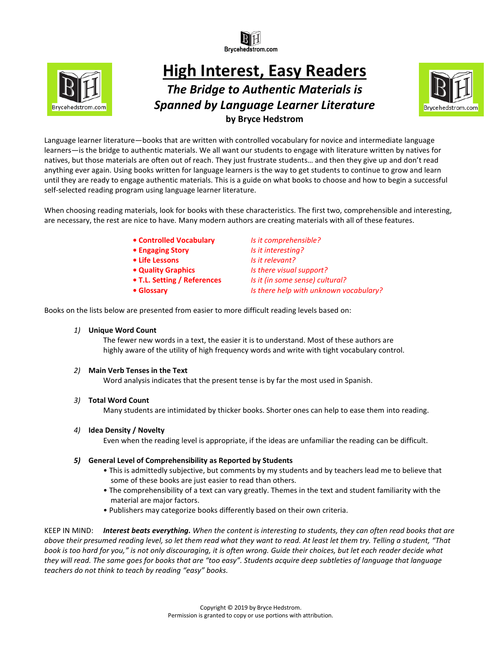



# **High Interest, Easy Readers**  *The Bridge to Authentic Materials is*

## *Spanned by Language Learner Literature*  **by Bryce Hedstrom**



Language learner literature—books that are written with controlled vocabulary for novice and intermediate language learners—is the bridge to authentic materials. We all want our students to engage with literature written by natives for natives, but those materials are often out of reach. They just frustrate students… and then they give up and don't read anything ever again. Using books written for language learners is the way to get students to continue to grow and learn until they are ready to engage authentic materials. This is a guide on what books to choose and how to begin a successful self-selected reading program using language learner literature.

When choosing reading materials, look for books with these characteristics. The first two, comprehensible and interesting, are necessary, the rest are nice to have. Many modern authors are creating materials with all of these features.

**• Controlled Vocabulary** *Is it comprehensible?*

**• Engaging Story** *Is it interesting?*

- **Life Lessons** *Is it relevant?*
- 
- 
- 

**• Quality Graphics** *Is there visual support?* **• T.L. Setting / References** *Is it (in some sense) cultural?* **• Glossary** *Is there help with unknown vocabulary?*

Books on the lists below are presented from easier to more difficult reading levels based on:

*1)* **Unique Word Count**

The fewer new words in a text, the easier it is to understand. Most of these authors are highly aware of the utility of high frequency words and write with tight vocabulary control.

#### *2)* **Main Verb Tenses in the Text**

Word analysis indicates that the present tense is by far the most used in Spanish.

*3)* **Total Word Count**

Many students are intimidated by thicker books. Shorter ones can help to ease them into reading.

*4)* **Idea Density / Novelty**

Even when the reading level is appropriate, if the ideas are unfamiliar the reading can be difficult.

#### *5)* **General Level of Comprehensibility as Reported by Students**

- This is admittedly subjective, but comments by my students and by teachers lead me to believe that some of these books are just easier to read than others.
- The comprehensibility of a text can vary greatly. Themes in the text and student familiarity with the material are major factors.
- Publishers may categorize books differently based on their own criteria.

KEEP IN MIND: *Interest beats everything. When the content is interesting to students, they can often read books that are above their presumed reading level, so let them read what they want to read. At least let them try. Telling a student, "That book is too hard for you," is not only discouraging, it is often wrong. Guide their choices, but let each reader decide what they will read. The same goes for books that are "too easy". Students acquire deep subtleties of language that language teachers do not think to teach by reading "easy" books.*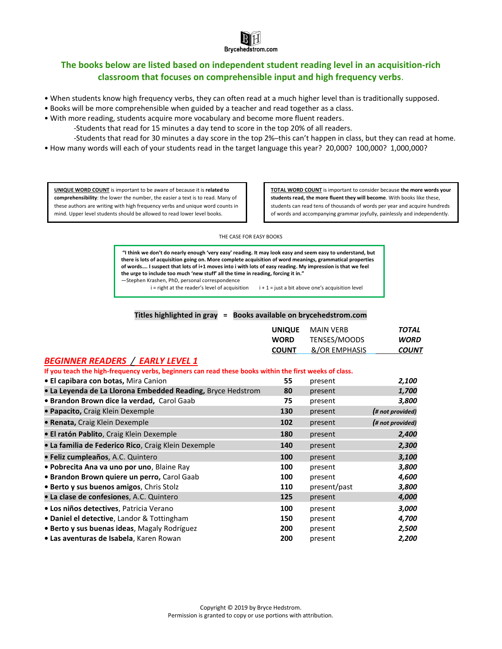

#### **The books below are listed based on independent student reading level in an acquisition-rich classroom that focuses on comprehensible input and high frequency verbs**.

- When students know high frequency verbs, they can often read at a much higher level than is traditionally supposed.
- Books will be more comprehensible when guided by a teacher and read together as a class.
- With more reading, students acquire more vocabulary and become more fluent readers.

-Students that read for 15 minutes a day tend to score in the top 20% of all readers.

-Students that read for 30 minutes a day score in the top 2%─this can't happen in class, but they can read at home. • How many words will each of your students read in the target language this year? 20,000? 100,000? 1,000,000?

**UNIQUE WORD COUNT** is important to be aware of because it is **related to comprehensibility**: the lower the number, the easier a text is to read. Many of these authors are writing with high frequency verbs and unique word counts in mind. Upper level students should be allowed to read lower level books.

**TOTAL WORD COUNT** is important to consider because **the more words your students read, the more fluent they will become**. With books like these, students can read tens of thousands of words per year and acquire hundreds of words and accompanying grammar joyfully, painlessly and independently.

THE CASE FOR EASY BOOKS

**"I think we don't do nearly enough 'very easy' reading. It may look easy and seem easy to understand, but there is lots of acquisition going on. More complete acquisition of word meanings, grammatical properties of words…. I suspect that lots of i+1 moves into i with lots of easy reading. My impression is that we feel the urge to include too much 'new stuff' all the time in reading, forcing it in."** ―Stephen Krashen, PhD, personal correspondence

 $i$  = right at the reader's level of acquisition  $i + 1 =$  just a bit above one's acquisition level

#### **Titles highlighted in gray = Books available on brycehedstrom.com**

|                                                              | <b>WORD</b><br><b>COUNT</b> | <b>UNIQUE</b> MAIN VERB<br>TENSES/MOODS<br>&/OR EMPHASIS | <b>TOTAL</b><br><b>WORD</b><br><b>COUNT</b> |
|--------------------------------------------------------------|-----------------------------|----------------------------------------------------------|---------------------------------------------|
| $\mathbf{a}$ , and a probably a straightfull of $\mathbf{a}$ |                             |                                                          |                                             |

#### *BEGINNER READERS / EARLY LEVEL 1*

| If you teach the high-frequency verbs, beginners can read these books within the first weeks of class. |     |              |                  |
|--------------------------------------------------------------------------------------------------------|-----|--------------|------------------|
| · El capibara con botas, Mira Canion                                                                   | 55  | present      | 2,100            |
| • La Leyenda de La Llorona Embedded Reading, Bryce Hedstrom                                            | 80  | present      | 1,700            |
| • Brandon Brown dice la verdad, Carol Gaab                                                             | 75  | present      | 3,800            |
| • Papacito, Craig Klein Dexemple                                                                       | 130 | present      | (# not provided) |
| • Renata, Craig Klein Dexemple                                                                         | 102 | present      | (# not provided) |
| · El ratón Pablito, Craig Klein Dexemple                                                               | 180 | present      | 2,400            |
| · La familia de Federico Rico, Craig Klein Dexemple                                                    | 140 | present      | 2,300            |
| · Feliz cumpleaños, A.C. Quintero                                                                      | 100 | present      | 3,100            |
| · Pobrecita Ana va uno por uno, Blaine Ray                                                             | 100 | present      | 3,800            |
| • Brandon Brown quiere un perro, Carol Gaab                                                            | 100 | present      | 4,600            |
| • Berto y sus buenos amigos, Chris Stolz                                                               | 110 | present/past | 3,800            |
| • La clase de confesiones, A.C. Quintero                                                               | 125 | present      | 4,000            |
| · Los niños detectives, Patricia Verano                                                                | 100 | present      | 3,000            |
| • Daniel el detective, Landor & Tottingham                                                             | 150 | present      | 4,700            |
| • Berto y sus buenas ideas, Magaly Rodríguez                                                           | 200 | present      | 2,500            |
| • Las aventuras de Isabela, Karen Rowan                                                                | 200 | present      | 2,200            |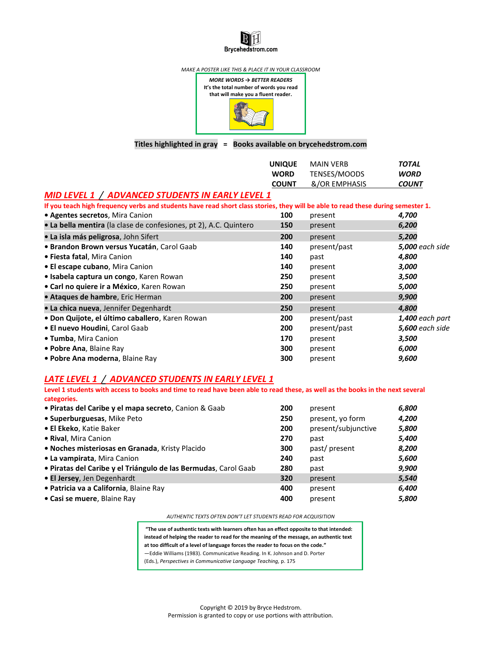# Brycehedstrom.com

*MAKE A POSTER LIKE THIS & PLACE IT IN YOUR CLASSROOM*



#### **Titles highlighted in gray = Books available on brycehedstrom.com**

|                                                                                                                                  | <b>UNIQUE</b> | <b>MAIN VERB</b> | <b>TOTAL</b>           |
|----------------------------------------------------------------------------------------------------------------------------------|---------------|------------------|------------------------|
|                                                                                                                                  | <b>WORD</b>   | TENSES/MOODS     | <b>WORD</b>            |
|                                                                                                                                  | <b>COUNT</b>  | &/OR EMPHASIS    | <b>COUNT</b>           |
| MID LEVEL 1 / ADVANCED STUDENTS IN EARLY LEVEL 1                                                                                 |               |                  |                        |
| If you teach high frequency verbs and students have read short class stories, they will be able to read these during semester 1. |               |                  |                        |
| • Agentes secretos, Mira Canion                                                                                                  | 100           | present          | 4,700                  |
| • La bella mentira (la clase de confesiones, pt 2), A.C. Quintero                                                                | 150           | present          | 6,200                  |
| · La isla más peligrosa, John Sifert                                                                                             | 200           | present          | 5,200                  |
| · Brandon Brown versus Yucatán, Carol Gaab                                                                                       | 140           | present/past     | <b>5,000</b> each side |
| • Fiesta fatal, Mira Canion                                                                                                      | 140           | past             | 4,800                  |
| • El escape cubano, Mira Canion                                                                                                  | 140           | present          | 3,000                  |
| • Isabela captura un congo, Karen Rowan                                                                                          | 250           | present          | 3,500                  |
| • Carl no quiere ir a México, Karen Rowan                                                                                        | 250           | present          | 5,000                  |
| · Ataques de hambre, Eric Herman                                                                                                 | 200           | present          | 9,900                  |
| · La chica nueva, Jennifer Degenhardt                                                                                            | 250           | present          | 4,800                  |
| • Don Quijote, el último caballero, Karen Rowan                                                                                  | 200           | present/past     | 1,400 each part        |
| • El nuevo Houdini, Carol Gaab                                                                                                   | 200           | present/past     | <b>5,600</b> each side |
| • Tumba, Mira Canion                                                                                                             | 170           | present          | 3,500                  |
| • Pobre Ana, Blaine Ray                                                                                                          | 300           | present          | 6,000                  |
| • Pobre Ana moderna, Blaine Ray                                                                                                  | 300           | present          | 9,600                  |

#### *LATE LEVEL 1 / ADVANCED STUDENTS IN EARLY LEVEL 1*

**Level 1 students with access to books and time to read have been able to read these, as well as the books in the next several categories.**

| · Piratas del Caribe y el mapa secreto, Canion & Gaab           | 200 | present             | 6,800 |
|-----------------------------------------------------------------|-----|---------------------|-------|
| · Superburguesas, Mike Peto                                     | 250 | present, yo form    | 4,200 |
| · El Ekeko, Katie Baker                                         | 200 | present/subjunctive | 5,800 |
| • Rival, Mira Canion                                            | 270 | past                | 5,400 |
| · Noches misteriosas en Granada, Kristy Placido                 | 300 | past/present        | 8,200 |
| • La vampirata, Mira Canion                                     | 240 | past                | 5,600 |
| · Piratas del Caribe y el Triángulo de las Bermudas, Carol Gaab | 280 | past                | 9,900 |
| · El Jersey, Jen Degenhardt                                     | 320 | present             | 5,540 |
| · Patricia va a California, Blaine Ray                          | 400 | present             | 6,400 |
| • Casi se muere, Blaine Ray                                     | 400 | present             | 5,800 |

#### *AUTHENTIC TEXTS OFTEN DON'T LET STUDENTS READ FOR ACQUISITION*

**"The use of authentic texts with learners often has an effect opposite to that intended: instead of helping the reader to read for the meaning of the message, an authentic text at too difficult of a level of language forces the reader to focus on the code."**  ―Eddie Williams (1983). Communicative Reading. In K. Johnson and D. Porter (Eds.), *Perspectives in Communicative Language Teaching,* p. 175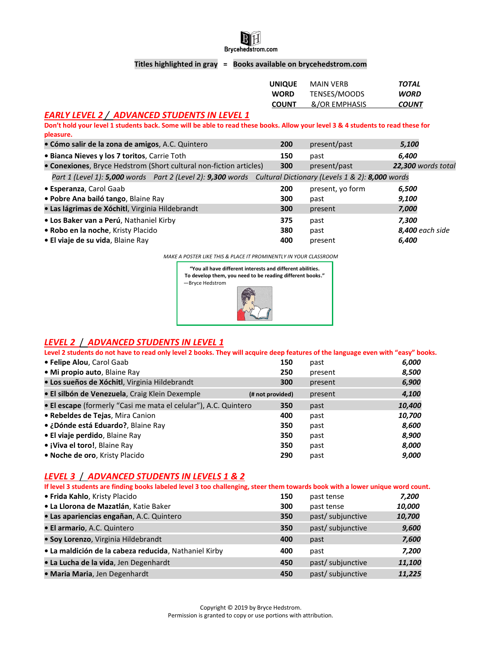

#### **Titles highlighted in gray = Books available on brycehedstrom.com**

| <b>UNIQUE</b> | <b>MAIN VERB</b> | TOTAL        |
|---------------|------------------|--------------|
| <b>WORD</b>   | TENSES/MOODS     | <b>WORD</b>  |
| <b>COUNT</b>  | &/OR EMPHASIS    | <b>COUNT</b> |

#### *EARLY LEVEL 2 / ADVANCED STUDENTS IN LEVEL 1*

**Don't hold your level 1 students back. Some will be able to read these books. Allow your level 3 & 4 students to read these for pleasure.**

| · Cómo salir de la zona de amigos, A.C. Quintero                                                            | 200 | present/past     | 5,100                     |
|-------------------------------------------------------------------------------------------------------------|-----|------------------|---------------------------|
| . Bianca Nieves y los 7 toritos, Carrie Toth                                                                | 150 | past             | 6,400                     |
| • Conexiones, Bryce Hedstrom (Short cultural non-fiction articles)                                          | 300 | present/past     | <b>22,300 words total</b> |
| Part 1 (Level 1): 5,000 words Part 2 (Level 2): 9,300 words Cultural Dictionary (Levels 1 & 2): 8,000 words |     |                  |                           |
| • Esperanza, Carol Gaab                                                                                     | 200 | present, yo form | 6,500                     |
| · Pobre Ana bailó tango, Blaine Ray                                                                         | 300 | past             | 9,100                     |
| · Las lágrimas de Xóchitl, Virginia Hildebrandt                                                             | 300 | present          | 7,000                     |
| • Los Baker van a Perú, Nathaniel Kirby                                                                     | 375 | past             | 7.300                     |
| · Robo en la noche, Kristy Placido                                                                          | 380 | past             | <b>8,400</b> each side    |
| • El viaje de su vida, Blaine Ray                                                                           | 400 | present          | 6,400                     |

*MAKE A POSTER LIKE THIS & PLACE IT PROMINENTLY IN YOUR CLASSROOM*

**"You all have different interests and different abilities. To develop them, you need to be reading different books."** —Bryce Hedstrom



#### *LEVEL 2* / *ADVANCED STUDENTS IN LEVEL 1*

**Level 2 students do not have to read only level 2 books. They will acquire deep features of the language even with "easy" books.**

| • Felipe Alou, Carol Gaab                                       | 150              | past    | 6,000  |
|-----------------------------------------------------------------|------------------|---------|--------|
| • Mi propio auto, Blaine Ray                                    | 250              | present | 8,500  |
| · Los sueños de Xóchitl, Virginia Hildebrandt                   | 300              | present | 6,900  |
| · El silbón de Venezuela, Craig Klein Dexemple                  | (# not provided) | present | 4,100  |
| • El escape (formerly "Casi me mata el celular"), A.C. Quintero | 350              | past    | 10,400 |
| • Rebeldes de Tejas, Mira Canion                                | 400              | past    | 10,700 |
| • ¿Dónde está Eduardo?, Blaine Ray                              | 350              | past    | 8,600  |
| • El viaje perdido, Blaine Ray                                  | 350              | past    | 8,900  |
| • ¡Viva el toro!, Blaine Ray                                    | 350              | past    | 8,000  |
| . Noche de oro, Kristy Placido                                  | 290              | past    | 9,000  |

#### *LEVEL 3* / *ADVANCED STUDENTS IN LEVELS 1 & 2*

| If level 3 students are finding books labeled level 3 too challenging, steer them towards book with a lower unique word count. |     |                   |        |
|--------------------------------------------------------------------------------------------------------------------------------|-----|-------------------|--------|
| · Frida Kahlo, Kristy Placido                                                                                                  | 150 | past tense        | 7,200  |
| • La Llorona de Mazatlán, Katie Baker                                                                                          | 300 | past tense        | 10,000 |
| · Las apariencias engañan, A.C. Quintero                                                                                       | 350 | past/ subjunctive | 10,700 |
| · El armario, A.C. Quintero                                                                                                    | 350 | past/subjunctive  | 9,600  |
| · Soy Lorenzo, Virginia Hildebrandt                                                                                            | 400 | past              | 7,600  |
| • La maldición de la cabeza reducida, Nathaniel Kirby                                                                          | 400 | past              | 7,200  |
| • La Lucha de la vida, Jen Degenhardt                                                                                          | 450 | past/ subjunctive | 11,100 |
| · Maria Maria, Jen Degenhardt                                                                                                  | 450 | past/ subjunctive | 11.225 |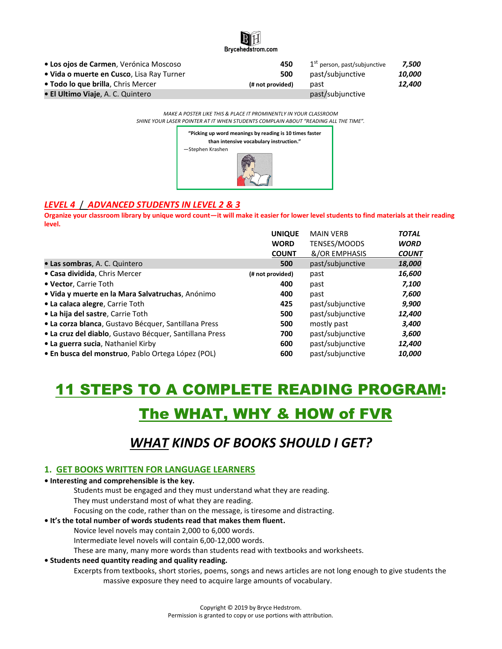

| • Los ojos de Carmen, Verónica Moscoso    | 450              | 1 <sup>st</sup> person, past/subjunctive | 7.500  |
|-------------------------------------------|------------------|------------------------------------------|--------|
| • Vida o muerte en Cusco, Lisa Ray Turner | 500              | past/subjunctive                         | 10.000 |
| • Todo lo que brilla, Chris Mercer        | (# not provided) | past                                     | 12,400 |
| • El Ultimo Viaje, A. C. Quintero         |                  | past/subjunctive                         |        |

*MAKE A POSTER LIKE THIS & PLACE IT PROMINENTLY IN YOUR CLASSROOM SHINE YOUR LASER POINTER AT IT WHEN STUDENTS COMPLAIN ABOUT "READING ALL THE TIME".*



#### *LEVEL 4* / *ADVANCED STUDENTS IN LEVEL 2 & 3*

**Organize your classroom library by unique word count—it will make it easier for lower level students to find materials at their reading level.**

|                                                         | <b>UNIQUE</b>    | <b>MAIN VERB</b> | <b>TOTAL</b> |
|---------------------------------------------------------|------------------|------------------|--------------|
|                                                         | <b>WORD</b>      | TENSES/MOODS     | <b>WORD</b>  |
|                                                         | <b>COUNT</b>     | &/OR EMPHASIS    | <b>COUNT</b> |
| • Las sombras, A. C. Quintero                           | 500              | past/subjunctive | 18,000       |
| • Casa dividida, Chris Mercer                           | (# not provided) | past             | 16,600       |
| • Vector, Carrie Toth                                   | 400              | past             | 7,100        |
| · Vida y muerte en la Mara Salvatruchas, Anónimo        | 400              | past             | 7,600        |
| • La calaca alegre, Carrie Toth                         | 425              | past/subjunctive | 9,900        |
| • La hija del sastre, Carrie Toth                       | 500              | past/subjunctive | 12,400       |
| • La corza blanca, Gustavo Bécquer, Santillana Press    | 500              | mostly past      | 3,400        |
| · La cruz del diablo, Gustavo Bécquer, Santillana Press | 700              | past/subjunctive | 3,600        |
| • La guerra sucia, Nathaniel Kirby                      | 600              | past/subjunctive | 12,400       |
| • En busca del monstruo, Pablo Ortega López (POL)       | 600              | past/subjunctive | 10,000       |

# 11 STEPS TO A COMPLETE READING PROGRAM: The WHAT, WHY & HOW of FVR

### *WHAT KINDS OF BOOKS SHOULD I GET?*

#### **1. GET BOOKS WRITTEN FOR LANGUAGE LEARNERS**

**• Interesting and comprehensible is the key.** 

Students must be engaged and they must understand what they are reading.

They must understand most of what they are reading.

Focusing on the code, rather than on the message, is tiresome and distracting.

#### **• It's the total number of words students read that makes them fluent.**

Novice level novels may contain 2,000 to 6,000 words.

Intermediate level novels will contain 6,00-12,000 words.

These are many, many more words than students read with textbooks and worksheets.

#### **• Students need quantity reading and quality reading.**

Excerpts from textbooks, short stories, poems, songs and news articles are not long enough to give students the massive exposure they need to acquire large amounts of vocabulary.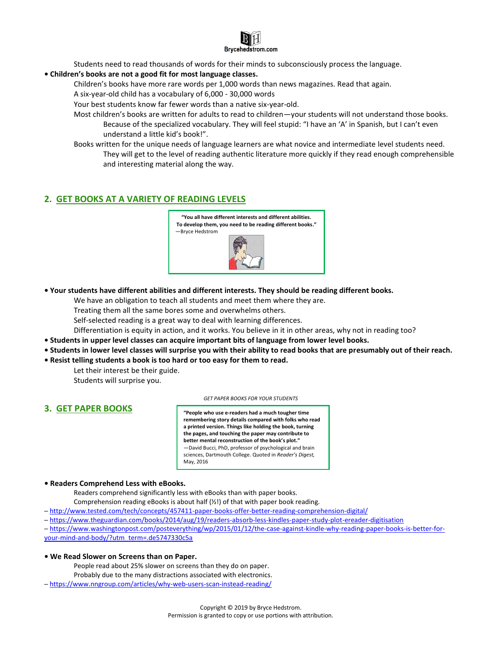

Students need to read thousands of words for their minds to subconsciously process the language.

#### **• Children's books are not a good fit for most language classes.**

Children's books have more rare words per 1,000 words than news magazines. Read that again.

A six-year-old child has a vocabulary of 6,000 - 30,000 words

Your best students know far fewer words than a native six-year-old.

- Most children's books are written for adults to read to children—your students will not understand those books. Because of the specialized vocabulary. They will feel stupid: "I have an 'A' in Spanish, but I can't even understand a little kid's book!".
- Books written for the unique needs of language learners are what novice and intermediate level students need. They will get to the level of reading authentic literature more quickly if they read enough comprehensible and interesting material along the way.

#### **2. GET BOOKS AT A VARIETY OF READING LEVELS**



**• Your students have different abilities and different interests. They should be reading different books.**

We have an obligation to teach all students and meet them where they are.

Treating them all the same bores some and overwhelms others.

Self-selected reading is a great way to deal with learning differences.

Differentiation is equity in action, and it works. You believe in it in other areas, why not in reading too?

- **• Students in upper level classes can acquire important bits of language from lower level books.**
- **• Students in lower level classes will surprise you with their ability to read books that are presumably out of their reach.**
- **• Resist telling students a book is too hard or too easy for them to read.**
	- Let their interest be their guide. Students will surprise you.

#### **3. GET PAPER BOOKS**

*GET PAPER BOOKS FOR YOUR STUDENTS*

**"People who use e-readers had a much tougher time remembering story details compared with folks who read a printed version. Things like holding the book, turning the pages, and touching the paper may contribute to better mental reconstruction of the book's plot."** —David Bucci, PhD, professor of psychological and brain sciences, Dartmouth College. Quoted in *Reader's Digest,*  May, 2016

#### **• Readers Comprehend Less with eBooks.**

Readers comprehend significantly less with eBooks than with paper books.

Comprehension reading eBooks is about half  $(Y_2!)$  of that with paper book reading.

─ <http://www.tested.com/tech/concepts/457411-paper-books-offer-better-reading-comprehension-digital/>

- ─ <https://www.theguardian.com/books/2014/aug/19/readers-absorb-less-kindles-paper-study-plot-ereader-digitisation>
- ─ [https://www.washingtonpost.com/posteverything/wp/2015/01/12/the-case-against-kindle-why-reading-paper-books-is-better-for](https://www.washingtonpost.com/posteverything/wp/2015/01/12/the-case-against-kindle-why-reading-paper-books-is-better-for-your-mind-and-body/?utm_term=.de5747330c5a)[your-mind-and-body/?utm\\_term=.de5747330c5a](https://www.washingtonpost.com/posteverything/wp/2015/01/12/the-case-against-kindle-why-reading-paper-books-is-better-for-your-mind-and-body/?utm_term=.de5747330c5a)

#### **• We Read Slower on Screens than on Paper.**

People read about 25% slower on screens than they do on paper.

- Probably due to the many distractions associated with electronics.
- ─ <https://www.nngroup.com/articles/why-web-users-scan-instead-reading/>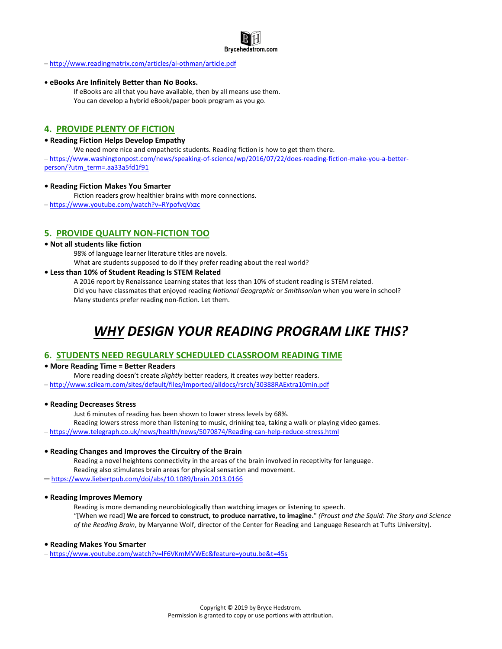

─ <http://www.readingmatrix.com/articles/al-othman/article.pdf>

#### **• eBooks Are Infinitely Better than No Books.**

If eBooks are all that you have available, then by all means use them. You can develop a hybrid eBook/paper book program as you go.

#### **4. PROVIDE PLENTY OF FICTION**

#### **• Reading Fiction Helps Develop Empathy**

We need more nice and empathetic students. Reading fiction is how to get them there.

─ [https://www.washingtonpost.com/news/speaking-of-science/wp/2016/07/22/does-reading-fiction-make-you-a-better](https://www.washingtonpost.com/news/speaking-of-science/wp/2016/07/22/does-reading-fiction-make-you-a-better-person/?utm_term=.aa33a5fd1f91)[person/?utm\\_term=.aa33a5fd1f91](https://www.washingtonpost.com/news/speaking-of-science/wp/2016/07/22/does-reading-fiction-make-you-a-better-person/?utm_term=.aa33a5fd1f91)

#### **• Reading Fiction Makes You Smarter**

Fiction readers grow healthier brains with more connections.

─ <https://www.youtube.com/watch?v=RYpofvqVxzc>

#### **5. PROVIDE QUALITY NON-FICTION TOO**

#### **• Not all students like fiction**

98% of language learner literature titles are novels.

What are students supposed to do if they prefer reading about the real world?

#### **• Less than 10% of Student Reading Is STEM Related**

A 2016 report by Renaissance Learning states that less than 10% of student reading is STEM related. Did you have classmates that enjoyed reading *National Geographic* or *Smithsonian* when you were in school? Many students prefer reading non-fiction. Let them.

### *WHY DESIGN YOUR READING PROGRAM LIKE THIS?*

#### **6. STUDENTS NEED REGULARLY SCHEDULED CLASSROOM READING TIME**

#### **• More Reading Time = Better Readers**

More reading doesn't create *slightly* better readers, it creates *way* better readers.

─ <http://www.scilearn.com/sites/default/files/imported/alldocs/rsrch/30388RAExtra10min.pdf>

#### **• Reading Decreases Stress**

Just 6 minutes of reading has been shown to lower stress levels by 68%.

Reading lowers stress more than listening to music, drinking tea, taking a walk or playing video games.

─ <https://www.telegraph.co.uk/news/health/news/5070874/Reading-can-help-reduce-stress.html>

#### **• Reading Changes and Improves the Circuitry of the Brain**

Reading a novel heightens connectivity in the areas of the brain involved in receptivity for language. Reading also stimulates brain areas for physical sensation and movement.

─ <https://www.liebertpub.com/doi/abs/10.1089/brain.2013.0166>

#### **• Reading Improves Memory**

Reading is more demanding neurobiologically than watching images or listening to speech.

"[When we read] **We are forced to construct, to produce narrative, to imagine.**" *(Proust and the Squid: The Story and Science of the Reading Brain*, by Maryanne Wolf, director of the Center for Reading and Language Research at Tufts University).

#### **• Reading Makes You Smarter**

─ <https://www.youtube.com/watch?v=lF6VKmMVWEc&feature=youtu.be&t=45s>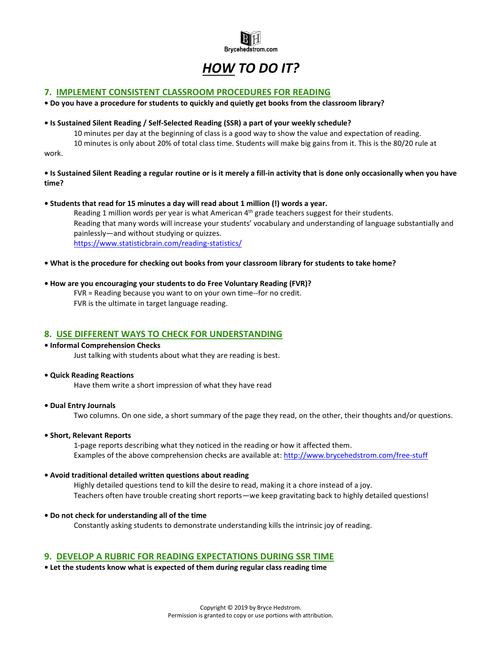

## *HOW TO DO IT?*

#### **7. IMPLEMENT CONSISTENT CLASSROOM PROCEDURES FOR READING**

**• Do you have a procedure for students to quickly and quietly get books from the classroom library?**

#### **• Is Sustained Silent Reading / Self-Selected Reading (SSR) a part of your weekly schedule?**

10 minutes per day at the beginning of class is a good way to show the value and expectation of reading. 10 minutes is only about 20% of total class time. Students will make big gains from it. This is the 80/20 rule at

work.

#### **• Is Sustained Silent Reading a regular routine or is it merely a fill-in activity that is done only occasionally when you have time?**

#### **• Students that read for 15 minutes a day will read about 1 million (!) words a year.**

Reading 1 million words per year is what American  $4<sup>th</sup>$  grade teachers suggest for their students. Reading that many words will increase your students' vocabulary and understanding of language substantially and painlessly—and without studying or quizzes. <https://www.statisticbrain.com/reading-statistics/>

**• What is the procedure for checking out books from your classroom library for students to take home?**

#### **• How are you encouraging your students to do Free Voluntary Reading (FVR)?**

FVR = Reading because you want to on your own time--for no credit. FVR is the ultimate in target language reading.

#### **8. USE DIFFERENT WAYS TO CHECK FOR UNDERSTANDING**

#### **• Informal Comprehension Checks**

Just talking with students about what they are reading is best.

#### **• Quick Reading Reactions**

Have them write a short impression of what they have read

**• Dual Entry Journals** 

Two columns. On one side, a short summary of the page they read, on the other, their thoughts and/or questions.

**• Short, Relevant Reports**

1-page reports describing what they noticed in the reading or how it affected them. Examples of the above comprehension checks are available at: <http://www.brycehedstrom.com/free-stuff>

#### **• Avoid traditional detailed written questions about reading**

Highly detailed questions tend to kill the desire to read, making it a chore instead of a joy. Teachers often have trouble creating short reports—we keep gravitating back to highly detailed questions!

**• Do not check for understanding all of the time**

Constantly asking students to demonstrate understanding kills the intrinsic joy of reading.

#### **9. DEVELOP A RUBRIC FOR READING EXPECTATIONS DURING SSR TIME**

**• Let the students know what is expected of them during regular class reading time**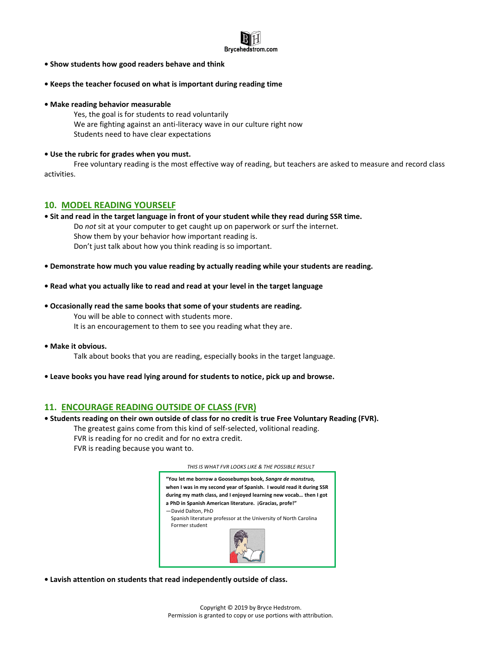

- **• Show students how good readers behave and think**
- **• Keeps the teacher focused on what is important during reading time**
- **• Make reading behavior measurable**
	- Yes, the goal is for students to read voluntarily We are fighting against an anti-literacy wave in our culture right now Students need to have clear expectations
- **• Use the rubric for grades when you must.**

Free voluntary reading is the most effective way of reading, but teachers are asked to measure and record class activities.

#### **10. MODEL READING YOURSELF**

- **• Sit and read in the target language in front of your student while they read during SSR time.** Do *not* sit at your computer to get caught up on paperwork or surf the internet. Show them by your behavior how important reading is. Don't just talk about how you think reading is so important.
- **• Demonstrate how much you value reading by actually reading while your students are reading.**
- **• Read what you actually like to read and read at your level in the target language**
- **• Occasionally read the same books that some of your students are reading.**

You will be able to connect with students more. It is an encouragement to them to see you reading what they are.

**• Make it obvious.** 

Talk about books that you are reading, especially books in the target language.

**• Leave books you have read lying around for students to notice, pick up and browse.**

#### **11. ENCOURAGE READING OUTSIDE OF CLASS (FVR)**

- **• Students reading on their own outside of class for no credit is true Free Voluntary Reading (FVR).**
	- The greatest gains come from this kind of self-selected, volitional reading.
		- FVR is reading for no credit and for no extra credit.
		- FVR is reading because you want to.

#### *THIS IS WHAT FVR LOOKS LIKE & THE POSSIBLE RESULT*



**• Lavish attention on students that read independently outside of class.**